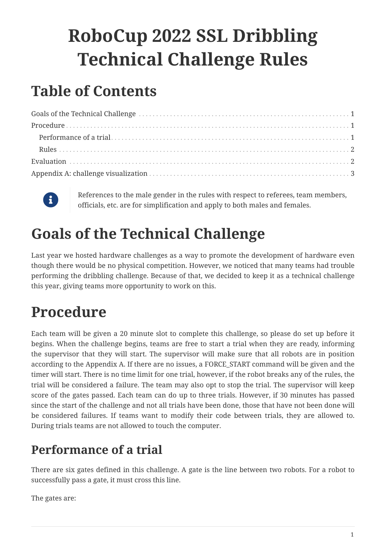# **RoboCup 2022 SSL Dribbling Technical Challenge Rules**

### **Table of Contents**



References to the male gender in the rules with respect to referees, team members, officials, etc. are for simplification and apply to both males and females.

## <span id="page-0-0"></span>**Goals of the Technical Challenge**

Last year we hosted hardware challenges as a way to promote the development of hardware even though there would be no physical competition. However, we noticed that many teams had trouble performing the dribbling challenge. Because of that, we decided to keep it as a technical challenge this year, giving teams more opportunity to work on this.

### <span id="page-0-1"></span>**Procedure**

Each team will be given a 20 minute slot to complete this challenge, so please do set up before it begins. When the challenge begins, teams are free to start a trial when they are ready, informing the supervisor that they will start. The supervisor will make sure that all robots are in position according to the Appendix A. If there are no issues, a FORCE\_START command will be given and the timer will start. There is no time limit for one trial, however, if the robot breaks any of the rules, the trial will be considered a failure. The team may also opt to stop the trial. The supervisor will keep score of the gates passed. Each team can do up to three trials. However, if 30 minutes has passed since the start of the challenge and not all trials have been done, those that have not been done will be considered failures. If teams want to modify their code between trials, they are allowed to. During trials teams are not allowed to touch the computer.

#### <span id="page-0-2"></span>**Performance of a trial**

There are six gates defined in this challenge. A gate is the line between two robots. For a robot to successfully pass a gate, it must cross this line.

The gates are: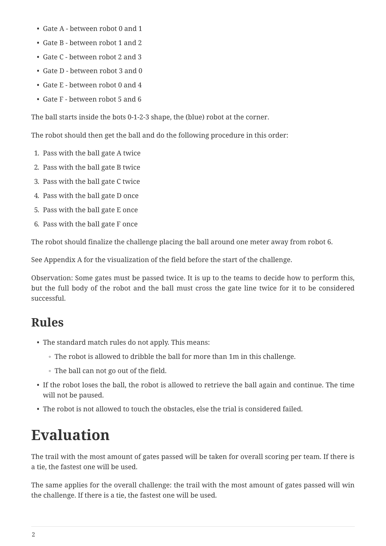- Gate A between robot 0 and 1
- Gate B between robot 1 and 2
- Gate C between robot 2 and 3
- Gate D between robot 3 and 0
- Gate E between robot 0 and 4
- Gate F between robot 5 and 6

The ball starts inside the bots 0-1-2-3 shape, the (blue) robot at the corner.

The robot should then get the ball and do the following procedure in this order:

- 1. Pass with the ball gate A twice
- 2. Pass with the ball gate B twice
- 3. Pass with the ball gate C twice
- 4. Pass with the ball gate D once
- 5. Pass with the ball gate E once
- 6. Pass with the ball gate F once

The robot should finalize the challenge placing the ball around one meter away from robot 6.

See Appendix A for the visualization of the field before the start of the challenge.

Observation: Some gates must be passed twice. It is up to the teams to decide how to perform this, but the full body of the robot and the ball must cross the gate line twice for it to be considered successful.

#### <span id="page-1-0"></span>**Rules**

- The standard match rules do not apply. This means:
	- The robot is allowed to dribble the ball for more than 1m in this challenge.
	- The ball can not go out of the field.
- If the robot loses the ball, the robot is allowed to retrieve the ball again and continue. The time will not be paused.
- The robot is not allowed to touch the obstacles, else the trial is considered failed.

### <span id="page-1-1"></span>**Evaluation**

The trail with the most amount of gates passed will be taken for overall scoring per team. If there is a tie, the fastest one will be used.

The same applies for the overall challenge: the trail with the most amount of gates passed will win the challenge. If there is a tie, the fastest one will be used.